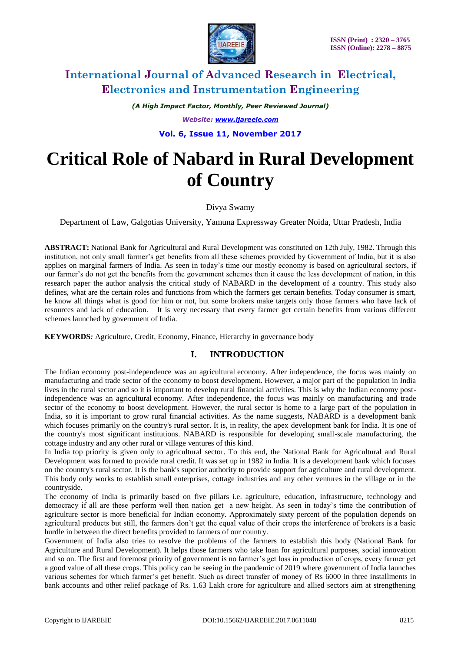

*(A High Impact Factor, Monthly, Peer Reviewed Journal) Website: [www.ijareeie.com](http://www.ijareeie.com/)*

**Vol. 6, Issue 11, November 2017**

# **Critical Role of Nabard in Rural Development of Country**

Divya Swamy

Department of Law, Galgotias University, Yamuna Expressway Greater Noida, Uttar Pradesh, India

**ABSTRACT:** National Bank for Agricultural and Rural Development was constituted on 12th July, 1982. Through this institution, not only small farmer's get benefits from all these schemes provided by Government of India, but it is also applies on marginal farmers of India. As seen in today's time our mostly economy is based on agricultural sectors, if our farmer's do not get the benefits from the government schemes then it cause the less development of nation, in this research paper the author analysis the critical study of NABARD in the development of a country. This study also defines, what are the certain roles and functions from which the farmers get certain benefits. Today consumer is smart, he know all things what is good for him or not, but some brokers make targets only those farmers who have lack of resources and lack of education. It is very necessary that every farmer get certain benefits from various different schemes launched by government of India.

**KEYWORDS***:* Agriculture, Credit, Economy, Finance, Hierarchy in governance body

### **I. INTRODUCTION**

The Indian economy post-independence was an agricultural [economy.](https://www.toppr.com/guides/economics/indian-economy-1950-1990/types-of-economies/) After independence, the focus was mainly on manufacturing and trade sector of the economy to boost development. However, a major part of the population in India lives in the rural sector and so it is important to develop rural financial activities. This is why the Indian economy postindependence was an agricultural [economy.](https://www.toppr.com/guides/economics/indian-economy-1950-1990/types-of-economies/) After independence, the focus was mainly on manufacturing and trade sector of the economy to boost development. However, the rural sector is home to a large part of the population in India, so it is important to grow rural financial activities. As the name suggests, NABARD is a development bank which focuses primarily on the country's rural sector. It is, in reality, the apex development bank for India. It is one of the country's most significant institutions. NABARD is responsible for developing small-scale manufacturing, the cottage industry and any other rural or village ventures of this kind.

In India top priority is given only to agricultural sector. To this end, the National Bank for Agricultural and Rural Development was formed to provide rural credit. It was set up in 1982 in India. It is a development bank which focuses on the country's rural sector. It is the bank's superior authority to provide support for agriculture and rural development. This body only works to establish small enterprises, cottage industries and any other ventures in the village or in the countryside.

The economy of India is primarily based on five pillars i.e. agriculture, education, infrastructure, technology and democracy if all are these perform well then nation get a new height. As seen in today's time the contribution of agriculture sector is more beneficial for Indian economy. Approximately sixty percent of the population depends on agricultural products but still, the farmers don't get the equal value of their crops the interference of brokers is a basic hurdle in between the direct benefits provided to farmers of our country.

Government of India also tries to resolve the problems of the farmers to establish this body (National Bank for Agriculture and Rural Development). It helps those farmers who take loan for agricultural purposes, social innovation and so on. The first and foremost priority of government is no farmer's get loss in production of crops, every farmer get a good value of all these crops. This policy can be seeing in the pandemic of 2019 where government of India launches various schemes for which farmer's get benefit. Such as direct transfer of money of Rs 6000 in three installments in bank accounts and other relief package of Rs. 1.63 Lakh crore for agriculture and allied sectors aim at strengthening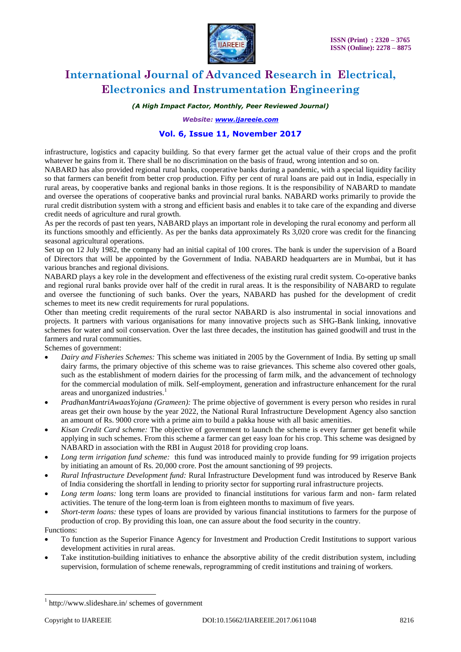

### *(A High Impact Factor, Monthly, Peer Reviewed Journal)*

*Website: [www.ijareeie.com](http://www.ijareeie.com/)*

### **Vol. 6, Issue 11, November 2017**

infrastructure, logistics and capacity building. So that every farmer get the actual value of their crops and the profit whatever he gains from it. There shall be no discrimination on the basis of fraud, wrong intention and so on. NABARD has also provided regional rural banks, cooperative banks during a pandemic, with a special liquidity facility so that farmers can benefit from better crop production. Fifty per cent of rural loans are paid out in India, especially in rural areas, by cooperative banks and regional banks in those regions. It is the responsibility of NABARD to mandate

and oversee the operations of cooperative banks and provincial rural banks. NABARD works primarily to provide the rural credit distribution system with a strong and efficient basis and enables it to take care of the expanding and diverse credit needs of agriculture and rural growth.

As per the records of past ten years, NABARD plays an important role in developing the rural economy and perform all its functions smoothly and efficiently. As per the banks data approximately Rs 3,020 crore was credit for the financing seasonal agricultural operations.

Set up on 12 July 1982, the company had an initial capital of 100 crores. The bank is under the supervision of a Board of Directors that will be appointed by the Government of India. NABARD headquarters are in Mumbai, but it has various branches and regional divisions.

NABARD plays a key role in the development and effectiveness of the existing rural credit system. Co-operative banks and regional rural banks provide over half of the credit in rural areas. It is the responsibility of NABARD to regulate and oversee the functioning of such banks. Over the years, NABARD has pushed for the development of credit schemes to meet its new credit requirements for rural populations.

Other than meeting credit requirements of the rural sector NABARD is also instrumental in social innovations and projects. It partners with various organisations for many innovative projects such as SHG-Bank linking, innovative schemes for water and soil conservation. Over the last three decades, the institution has gained goodwill and trust in the farmers and rural communities.

Schemes of government:

- *Dairy and Fisheries Schemes:* This scheme was initiated in 2005 by the Government of India. By setting up small dairy farms, the primary objective of this scheme was to raise grievances. This scheme also covered other goals, such as the establishment of modern dairies for the processing of farm milk, and the advancement of technology for the commercial modulation of milk. Self-employment, generation and infrastructure enhancement for the rural areas and unorganized industries.<sup>1</sup>
- *PradhanMantriAwaasYojana (Grameen):* The prime objective of government is every person who resides in rural areas get their own house by the year 2022, the National Rural Infrastructure Development Agency also sanction an amount of Rs. 9000 crore with a prime aim to build a pakka house with all basic amenities.
- *Kisan Credit Card scheme:* The objective of government to launch the scheme is every farmer get benefit while applying in such schemes. From this scheme a farmer can get easy loan for his crop. This scheme was designed by NABARD in association with the RBI in August 2018 for providing crop loans.
- *Long term irrigation fund scheme:* this fund was introduced mainly to provide funding for 99 irrigation projects by initiating an amount of Rs. 20,000 crore. Post the amount sanctioning of 99 projects.
- *Rural Infrastructure Development fund:* Rural Infrastructure Development fund was introduced by Reserve Bank of India considering the shortfall in lending to priority sector for supporting rural infrastructure projects.
- *Long term loans:* long term loans are provided to financial institutions for various farm and non- farm related activities. The tenure of the long-term loan is from eighteen months to maximum of five years.
- *Short-term loans:* these types of loans are provided by various financial institutions to farmers for the purpose of production of crop. By providing this loan, one can assure about the food security in the country.

Functions:

 $\overline{a}$ 

- To function as the Superior Finance Agency for Investment and Production Credit Institutions to support various development activities in rural areas.
- Take institution-building initiatives to enhance the absorptive ability of the credit distribution system, including supervision, formulation of scheme renewals, reprogramming of credit institutions and training of workers.

<sup>1</sup> http://www.slideshare.in/ schemes of government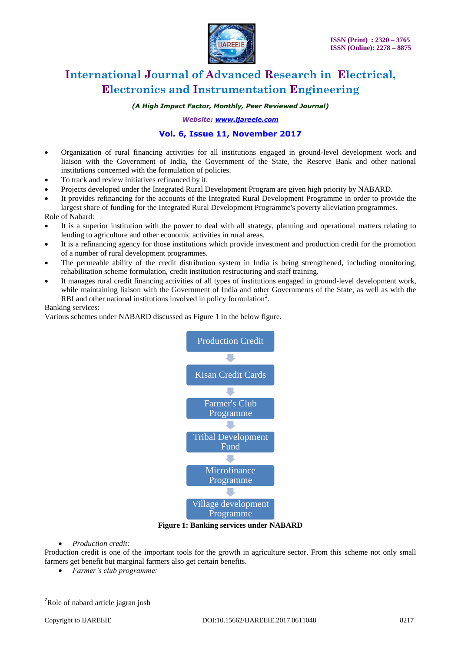

*(A High Impact Factor, Monthly, Peer Reviewed Journal)*

*Website: [www.ijareeie.com](http://www.ijareeie.com/)*

### **Vol. 6, Issue 11, November 2017**

- Organization of rural financing activities for all institutions engaged in ground-level development work and liaison with the Government of India, the Government of the State, the Reserve Bank and other national institutions concerned with the formulation of policies.
- To track and review initiatives refinanced by it.
- Projects developed under the Integrated Rural Development Program are given high priority by NABARD.
- It provides refinancing for the accounts of the Integrated Rural Development Programme in order to provide the largest share of funding for the Integrated Rural Development Programme's poverty alleviation programmes.

Role of Nabard:

- It is a superior institution with the power to deal with all strategy, planning and operational matters relating to lending to agriculture and other economic activities in rural areas.
- It is a refinancing agency for those institutions which provide investment and production credit for the promotion of a number of rural development programmes.
- The permeable ability of the credit distribution system in India is being strengthened, including monitoring, rehabilitation scheme formulation, credit institution restructuring and staff training.
- It manages rural credit financing activities of all types of institutions engaged in ground-level development work, while maintaining liaison with the Government of India and other Governments of the State, as well as with the RBI and other national institutions involved in policy formulation<sup>2</sup>.

#### Banking services:

Various schemes under NABARD discussed as Figure 1 in the below figure.



**Figure 1: Banking services under NABARD**

*Production credit:*

Production credit is one of the important tools for the growth in agriculture sector. From this scheme not only small farmers get benefit but marginal farmers also get certain benefits.

*Farmer's club programme:*

 $\overline{a}$ 

<sup>&</sup>lt;sup>2</sup>Role of nabard article jagran josh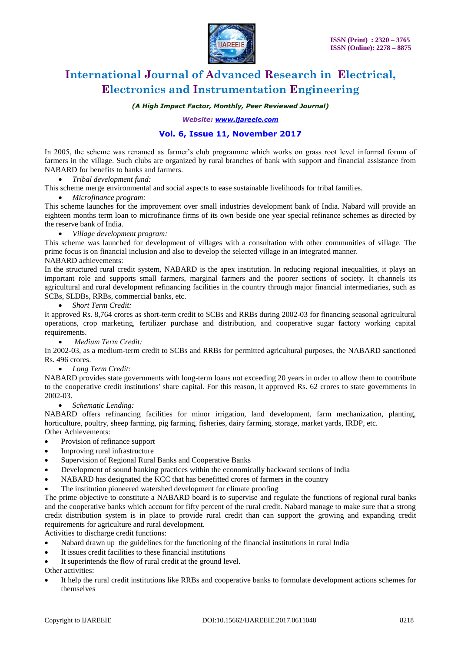

### *(A High Impact Factor, Monthly, Peer Reviewed Journal)*

*Website: [www.ijareeie.com](http://www.ijareeie.com/)*

### **Vol. 6, Issue 11, November 2017**

In 2005, the scheme was renamed as farmer's club programme which works on grass root level informal forum of farmers in the village. Such clubs are organized by rural branches of bank with support and financial assistance from NABARD for benefits to banks and farmers.

- *Tribal development fund:*
- This scheme merge environmental and social aspects to ease sustainable livelihoods for tribal families.
	- *Microfinance program:*

This scheme launches for the improvement over small industries development bank of India. Nabard will provide an eighteen months term loan to microfinance firms of its own beside one year special refinance schemes as directed by the reserve bank of India.

*Village development program:* 

This scheme was launched for development of villages with a consultation with other communities of village. The prime focus is on financial inclusion and also to develop the selected village in an integrated manner. NABARD achievements:

In the structured rural credit system, NABARD is the apex institution. In reducing regional inequalities, it plays an important role and supports small farmers, marginal farmers and the poorer sections of society. It channels its agricultural and rural development refinancing facilities in the country through major financial intermediaries, such as SCBs, SLDBs, RRBs, commercial banks, etc.

#### *Short Term Credit:*

It approved Rs. 8,764 crores as short-term credit to SCBs and RRBs during 2002-03 for financing seasonal agricultural operations, crop marketing, fertilizer purchase and distribution, and cooperative sugar factory working capital requirements.

*Medium Term Credit:* 

In 2002-03, as a medium-term credit to SCBs and RRBs for permitted agricultural purposes, the NABARD sanctioned Rs. 496 crores.

#### *Long Term Credit:*

NABARD provides state governments with long-term loans not exceeding 20 years in order to allow them to contribute to the cooperative credit institutions' share capital. For this reason, it approved Rs. 62 crores to state governments in 2002-03.

*Schematic Lending:* 

NABARD offers refinancing facilities for minor irrigation, land development, farm mechanization, planting, horticulture, poultry, sheep farming, pig farming, fisheries, dairy farming, storage, market yards, IRDP, etc. Other Achievements:

- Provision of refinance support
- Improving rural infrastructure
- Supervision of Regional Rural Banks and Cooperative Banks
- Development of sound banking practices within the economically backward sections of India
- NABARD has designated the KCC that has benefitted crores of farmers in the country
- The institution pioneered watershed development for climate proofing

The prime objective to constitute a NABARD board is to supervise and regulate the functions of regional rural banks and the cooperative banks which account for fifty percent of the rural credit. Nabard manage to make sure that a strong credit distribution system is in place to provide rural credit than can support the growing and expanding credit requirements for agriculture and rural development.

Activities to discharge credit functions:

- Nabard drawn up the guidelines for the functioning of the financial institutions in rural India
- It issues credit facilities to these financial institutions
- It superintends the flow of rural credit at the ground level.

Other activities:

 It help the rural credit institutions like RRBs and cooperative banks to formulate development actions schemes for themselves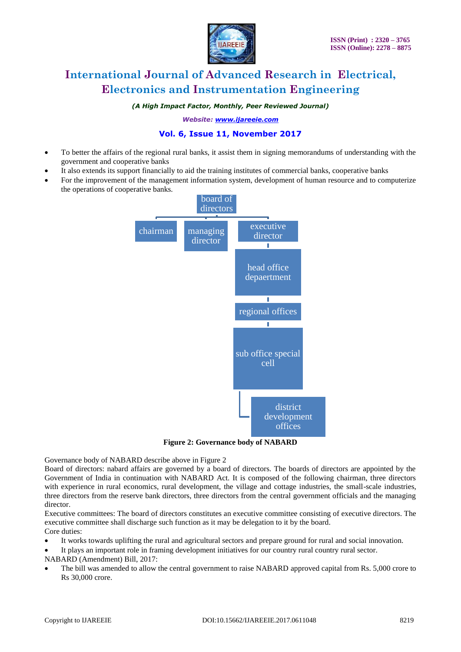

### *(A High Impact Factor, Monthly, Peer Reviewed Journal)*

*Website: [www.ijareeie.com](http://www.ijareeie.com/)*

### **Vol. 6, Issue 11, November 2017**

- To better the affairs of the regional rural banks, it assist them in signing memorandums of understanding with the government and cooperative banks
- It also extends its support financially to aid the training institutes of commercial banks, cooperative banks
- For the improvement of the management information system, development of human resource and to computerize the operations of cooperative banks.



**Figure 2: Governance body of NABARD**

Governance body of NABARD describe above in Figure 2

Board of directors: nabard affairs are governed by a board of directors. The boards of directors are appointed by the Government of India in continuation with NABARD Act. It is composed of the following chairman, three directors with experience in rural economics, rural development, the village and cottage industries, the small-scale industries, three directors from the reserve bank directors, three directors from the central government officials and the managing director.

Executive committees: The board of directors constitutes an executive committee consisting of executive directors. The executive committee shall discharge such function as it may be delegation to it by the board. Core duties:

- It works towards uplifting the rural and agricultural sectors and prepare ground for rural and social innovation.
- It plays an important role in framing development initiatives for our country rural country rural sector.

NABARD (Amendment) Bill, 2017:

 The bill was amended to allow the central government to raise NABARD approved capital from Rs. 5,000 crore to Rs 30,000 crore.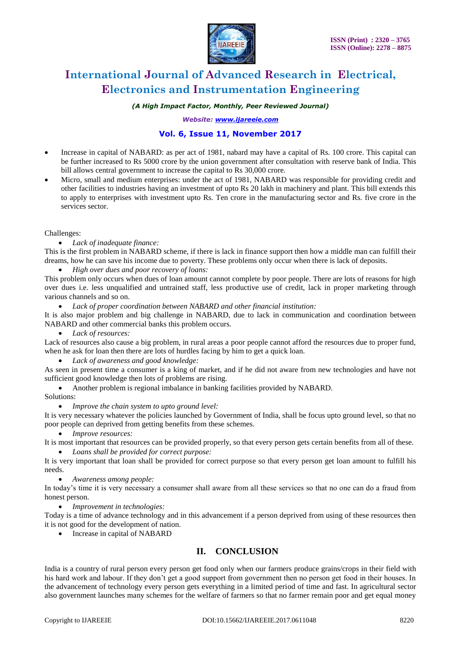

### *(A High Impact Factor, Monthly, Peer Reviewed Journal)*

*Website: [www.ijareeie.com](http://www.ijareeie.com/)*

### **Vol. 6, Issue 11, November 2017**

- Increase in capital of NABARD: as per act of 1981, nabard may have a capital of Rs. 100 crore. This capital can be further increased to Rs 5000 crore by the union government after consultation with reserve bank of India. This bill allows central government to increase the capital to Rs 30,000 crore.
- Micro, small and medium enterprises: under the act of 1981, NABARD was responsible for providing credit and other facilities to industries having an investment of upto Rs 20 lakh in machinery and plant. This bill extends this to apply to enterprises with investment upto Rs. Ten crore in the manufacturing sector and Rs. five crore in the services sector.

#### Challenges:

#### *Lack of inadequate finance:*

This is the first problem in NABARD scheme, if there is lack in finance support then how a middle man can fulfill their dreams, how he can save his income due to poverty. These problems only occur when there is lack of deposits.

*High over dues and poor recovery of loans:*

This problem only occurs when dues of loan amount cannot complete by poor people. There are lots of reasons for high over dues i.e. less unqualified and untrained staff, less productive use of credit, lack in proper marketing through various channels and so on.

*Lack of proper coordination between NABARD and other financial institution:*

It is also major problem and big challenge in NABARD, due to lack in communication and coordination between NABARD and other commercial banks this problem occurs.

*Lack of resources:*

Lack of resources also cause a big problem, in rural areas a poor people cannot afford the resources due to proper fund, when he ask for loan then there are lots of hurdles facing by him to get a quick loan.

*Lack of awareness and good knowledge:*

As seen in present time a consumer is a king of market, and if he did not aware from new technologies and have not sufficient good knowledge then lots of problems are rising.

- Another problem is regional imbalance in banking facilities provided by NABARD.
- Solutions:
	- *Improve the chain system to upto ground level:*

It is very necessary whatever the policies launched by Government of India, shall be focus upto ground level, so that no poor people can deprived from getting benefits from these schemes.

*Improve resources:*

It is most important that resources can be provided properly, so that every person gets certain benefits from all of these.

*Loans shall be provided for correct purpose:*

It is very important that loan shall be provided for correct purpose so that every person get loan amount to fulfill his needs.

*Awareness among people:*

In today's time it is very necessary a consumer shall aware from all these services so that no one can do a fraud from honest person.

*Improvement in technologies:*

Today is a time of advance technology and in this advancement if a person deprived from using of these resources then it is not good for the development of nation.

• Increase in capital of NABARD

### **II. CONCLUSION**

India is a country of rural person every person get food only when our farmers produce grains/crops in their field with his hard work and labour. If they don't get a good support from government then no person get food in their houses. In the advancement of technology every person gets everything in a limited period of time and fast. In agricultural sector also government launches many schemes for the welfare of farmers so that no farmer remain poor and get equal money